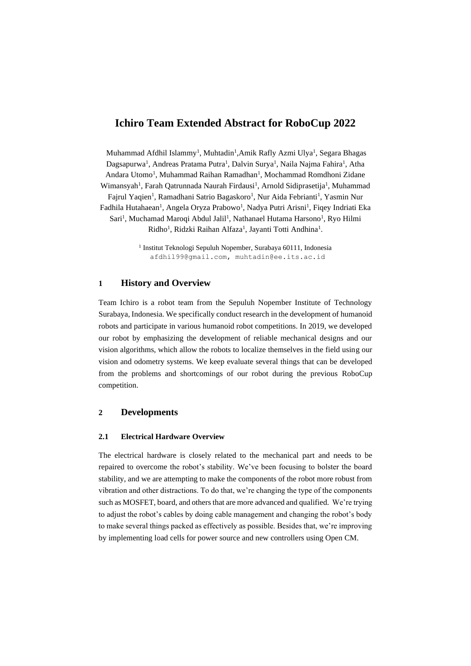# **Ichiro Team Extended Abstract for RoboCup 2022**

Muhammad Afdhil Islammy<sup>1</sup>, Muhtadin<sup>1</sup>,Amik Rafly Azmi Ulya<sup>1</sup>, Segara Bhagas Dagsapurwa<sup>1</sup>, Andreas Pratama Putra<sup>1</sup>, Dalvin Surya<sup>1</sup>, Naila Najma Fahira<sup>1</sup>, Atha Andara Utomo<sup>1</sup>, Muhammad Raihan Ramadhan<sup>1</sup>, Mochammad Romdhoni Zidane Wimansyah<sup>1</sup>, Farah Qatrunnada Naurah Firdausi<sup>1</sup>, Arnold Sidiprasetija<sup>1</sup>, Muhammad Fajrul Yaqien<sup>1</sup>, Ramadhani Satrio Bagaskoro<sup>1</sup>, Nur Aida Febrianti<sup>1</sup>, Yasmin Nur Fadhila Hutahaean<sup>1</sup>, Angela Oryza Prabowo<sup>1</sup>, Nadya Putri Arisni<sup>1</sup>, Fiqey Indriati Eka Sari<sup>1</sup>, Muchamad Maroqi Abdul Jalil<sup>1</sup>, Nathanael Hutama Harsono<sup>1</sup>, Ryo Hilmi Ridho<sup>1</sup>, Ridzki Raihan Alfaza<sup>1</sup>, Jayanti Totti Andhina<sup>1</sup>.

> 1 Institut Teknologi Sepuluh Nopember, Surabaya 60111, Indonesia [afdhil99@gmail.com,](mailto:afdhil99@gmail.com) [muhtadin@ee.its.ac.id](mailto:muhtadin@ee.its.ac.id)

## **1 History and Overview**

Team Ichiro is a robot team from the Sepuluh Nopember Institute of Technology Surabaya, Indonesia. We specifically conduct research in the development of humanoid robots and participate in various humanoid robot competitions. In 2019, we developed our robot by emphasizing the development of reliable mechanical designs and our vision algorithms, which allow the robots to localize themselves in the field using our vision and odometry systems. We keep evaluate several things that can be developed from the problems and shortcomings of our robot during the previous RoboCup competition.

### **2 Developments**

#### **2.1 Electrical Hardware Overview**

The electrical hardware is closely related to the mechanical part and needs to be repaired to overcome the robot's stability. We've been focusing to bolster the board stability, and we are attempting to make the components of the robot more robust from vibration and other distractions. To do that, we're changing the type of the components such as MOSFET, board, and others that are more advanced and qualified. We're trying to adjust the robot's cables by doing cable management and changing the robot's body to make several things packed as effectively as possible. Besides that, we're improving by implementing load cells for power source and new controllers using Open CM.